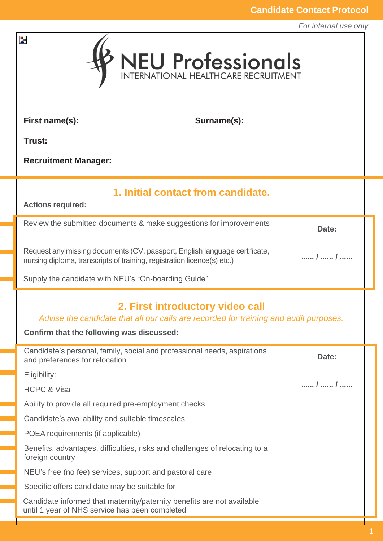*For internal use only*

| $\mathbf{z}$<br>NEU Professionals                                                                                                                                      |                                                                             |       |  |  |
|------------------------------------------------------------------------------------------------------------------------------------------------------------------------|-----------------------------------------------------------------------------|-------|--|--|
| First name(s):                                                                                                                                                         | Surname(s):                                                                 |       |  |  |
| Trust:                                                                                                                                                                 |                                                                             |       |  |  |
| <b>Recruitment Manager:</b>                                                                                                                                            |                                                                             |       |  |  |
| 1. Initial contact from candidate.<br><b>Actions required:</b>                                                                                                         |                                                                             |       |  |  |
|                                                                                                                                                                        | Review the submitted documents & make suggestions for improvements          | Date: |  |  |
| Request any missing documents (CV, passport, English language certificate,<br>/  /<br>nursing diploma, transcripts of training, registration licence(s) etc.)          |                                                                             |       |  |  |
| Supply the candidate with NEU's "On-boarding Guide"                                                                                                                    |                                                                             |       |  |  |
| 2. First introductory video call<br>Advise the candidate that all our calls are recorded for training and audit purposes.<br>Confirm that the following was discussed: |                                                                             |       |  |  |
| and preferences for relocation                                                                                                                                         | Candidate's personal, family, social and professional needs, aspirations    | Date: |  |  |
| Eligibility:                                                                                                                                                           |                                                                             | /  /  |  |  |
| <b>HCPC &amp; Visa</b>                                                                                                                                                 |                                                                             |       |  |  |
| Ability to provide all required pre-employment checks                                                                                                                  |                                                                             |       |  |  |
| Candidate's availability and suitable timescales                                                                                                                       |                                                                             |       |  |  |
| POEA requirements (if applicable)<br>foreign country                                                                                                                   | Benefits, advantages, difficulties, risks and challenges of relocating to a |       |  |  |
| NEU's free (no fee) services, support and pastoral care                                                                                                                |                                                                             |       |  |  |
| Specific offers candidate may be suitable for                                                                                                                          |                                                                             |       |  |  |
| until 1 year of NHS service has been completed                                                                                                                         | Candidate informed that maternity/paternity benefits are not available      |       |  |  |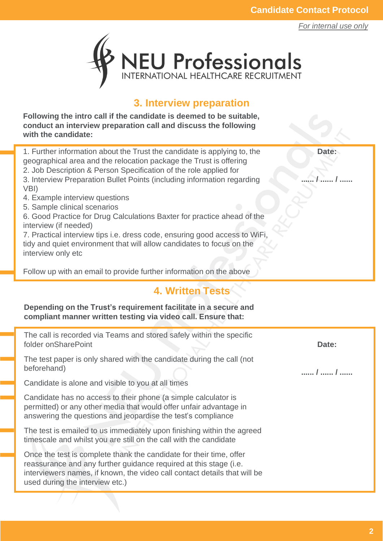*For internal use only*

**Date:**

**...... / ...... / ......**



#### **3. Interview preparation**

**Following the intro call if the candidate is deemed to be suitable, conduct an interview preparation call and discuss the following with the candidate:**

1. Further information about the Trust the candidate is applying to, the geographical area and the relocation package the Trust is offering 2. Job Description & Person Specification of the role applied for 3. Interview Preparation Bullet Points (including information regarding VBI)

- 4. Example interview questions
- 5. Sample clinical scenarios

6. Good Practice for Drug Calculations Baxter for practice ahead of the interview (if needed)

7. Practical interview tips i.e. dress code, ensuring good access to WiFi, tidy and quiet environment that will allow candidates to focus on the interview only etc

Follow up with an email to provide further information on the above

#### **4. Written Tests**

**Depending on the Trust's requirement facilitate in a secure and compliant manner written testing via video call. Ensure that:**

The call is recorded via Teams and stored safely within the specific folder onSharePoint The test paper is only shared with the candidate during the call (not beforehand) Candidate is alone and visible to you at all times Candidate has no access to their phone (a simple calculator is permitted) or any other media that would offer unfair advantage in answering the questions and jeopardise the test's compliance The test is emailed to us immediately upon finishing within the agreed timescale and whilst you are still on the call with the candidate Once the test is complete thank the candidate for their time, offer reassurance and any further guidance required at this stage (i.e. interviewers names, if known, the video call contact details that will be used during the interview etc.) **Date: ...... / ...... / ......**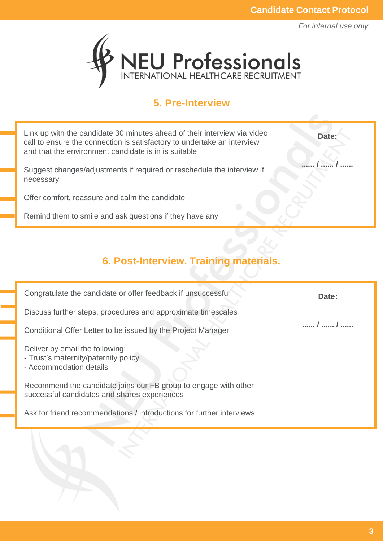**Date:**

**...... / ...... / ......**



#### **5. Pre-Interview**

Link up with the candidate 30 minutes ahead of their interview via video call to ensure the connection is satisfactory to undertake an interview and that the environment candidate is in is suitable

Suggest changes/adjustments if required or reschedule the interview if necessary

Offer comfort, reassure and calm the candidate

Remind them to smile and ask questions if they have any

# **6. Post-Interview. Training materials.**

Congratulate the candidate or offer feedback if unsuccessful Discuss further steps, procedures and approximate timescales Conditional Offer Letter to be issued by the Project Manager Deliver by email the following: - Trust's maternity/paternity policy - Accommodation details Recommend the candidate joins our FB group to engage with other successful candidates and shares experiences Ask for friend recommendations / introductions for further interviews **Date: ...... / ...... / ......**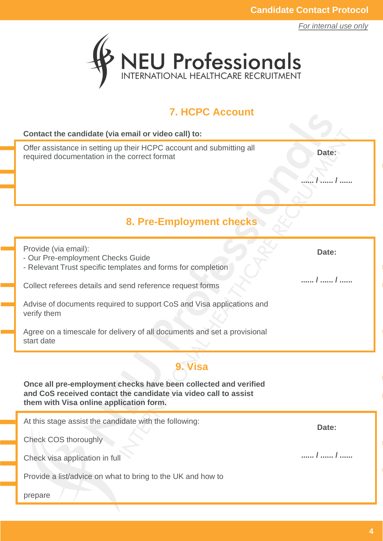

#### **7. HCPC Account**

| Contact the candidate (via email or video call) to:                                                                                                                           |       |  |  |  |
|-------------------------------------------------------------------------------------------------------------------------------------------------------------------------------|-------|--|--|--|
| Offer assistance in setting up their HCPC account and submitting all<br>required documentation in the correct format                                                          | Date: |  |  |  |
|                                                                                                                                                                               |       |  |  |  |
|                                                                                                                                                                               |       |  |  |  |
| 8. Pre-Employment checks                                                                                                                                                      |       |  |  |  |
| Provide (via email):<br>- Our Pre-employment Checks Guide<br>- Relevant Trust specific templates and forms for completion                                                     | Date: |  |  |  |
| Collect referees details and send reference request forms                                                                                                                     | /  /  |  |  |  |
| Advise of documents required to support CoS and Visa applications and<br>verify them                                                                                          |       |  |  |  |
| Agree on a timescale for delivery of all documents and set a provisional<br>start date                                                                                        |       |  |  |  |
| 9. Visa                                                                                                                                                                       |       |  |  |  |
| Once all pre-employment checks have been collected and verified<br>and CoS received contact the candidate via video call to assist<br>them with Visa online application form. |       |  |  |  |
| At this stage assist the candidate with the following:                                                                                                                        | Date: |  |  |  |
| Check COS thoroughly                                                                                                                                                          |       |  |  |  |
| Check visa application in full                                                                                                                                                | /  /  |  |  |  |
| Provide a list/advice on what to bring to the UK and how to                                                                                                                   |       |  |  |  |
| prepare                                                                                                                                                                       |       |  |  |  |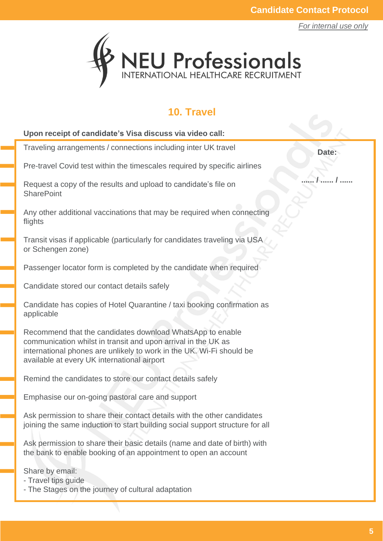

#### **10. Travel**

| Upon receipt of candidate's Visa discuss via video call:                                                                                                                                                                                          |       |
|---------------------------------------------------------------------------------------------------------------------------------------------------------------------------------------------------------------------------------------------------|-------|
| Traveling arrangements / connections including inter UK travel                                                                                                                                                                                    | Date: |
| Pre-travel Covid test within the timescales required by specific airlines                                                                                                                                                                         |       |
| Request a copy of the results and upload to candidate's file on<br><b>SharePoint</b>                                                                                                                                                              |       |
| Any other additional vaccinations that may be required when connecting<br>flights                                                                                                                                                                 |       |
| Transit visas if applicable (particularly for candidates traveling via USA<br>or Schengen zone)                                                                                                                                                   |       |
| Passenger locator form is completed by the candidate when required                                                                                                                                                                                |       |
| Candidate stored our contact details safely                                                                                                                                                                                                       |       |
| Candidate has copies of Hotel Quarantine / taxi booking confirmation as<br>applicable                                                                                                                                                             |       |
| Recommend that the candidates download WhatsApp to enable<br>communication whilst in transit and upon arrival in the UK as<br>international phones are unlikely to work in the UK. Wi-Fi should be<br>available at every UK international airport |       |
| Remind the candidates to store our contact details safely                                                                                                                                                                                         |       |
| Emphasise our on-going pastoral care and support                                                                                                                                                                                                  |       |
| Ask permission to share their contact details with the other candidates<br>joining the same induction to start building social support structure for all                                                                                          |       |
| Ask permission to share their basic details (name and date of birth) with<br>the bank to enable booking of an appointment to open an account                                                                                                      |       |
| Share by email:<br>- Travel tips guide<br>- The Stages on the journey of cultural adaptation                                                                                                                                                      |       |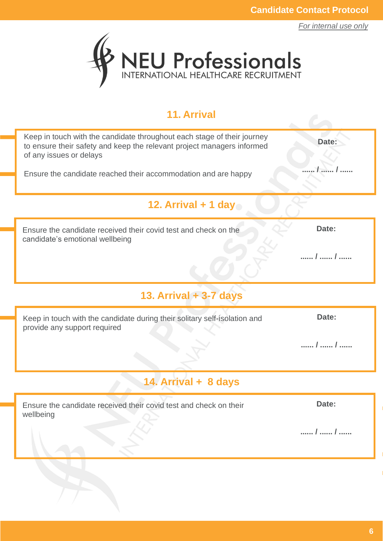*For internal use only*



## **11. Arrival**

| Keep in touch with the candidate throughout each stage of their journey<br>to ensure their safety and keep the relevant project managers informed<br>of any issues or delays | Date: |  |  |  |  |
|------------------------------------------------------------------------------------------------------------------------------------------------------------------------------|-------|--|--|--|--|
| Ensure the candidate reached their accommodation and are happy                                                                                                               |       |  |  |  |  |
| 12. Arrival $+$ 1 day                                                                                                                                                        |       |  |  |  |  |
| Ensure the candidate received their covid test and check on the<br>candidate's emotional wellbeing                                                                           | Date: |  |  |  |  |
|                                                                                                                                                                              | /  /  |  |  |  |  |
| 13. Arrival + 3-7 days                                                                                                                                                       |       |  |  |  |  |
| Keep in touch with the candidate during their solitary self-isolation and<br>provide any support required                                                                    | Date: |  |  |  |  |
|                                                                                                                                                                              | /  /  |  |  |  |  |
| 14. Arrival + 8 days                                                                                                                                                         |       |  |  |  |  |
| Ensure the candidate received their covid test and check on their<br>wellbeing                                                                                               | Date: |  |  |  |  |
|                                                                                                                                                                              | /  /  |  |  |  |  |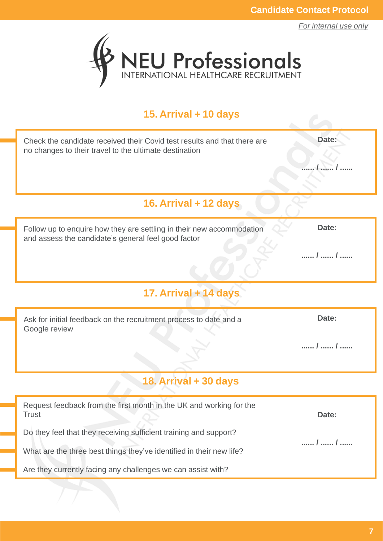*For internal use only*



## **15. Arrival + 10 days**

| Check the candidate received their Covid test results and that there are<br>no changes to their travel to the ultimate destination | Date: |  |  |  |  |
|------------------------------------------------------------------------------------------------------------------------------------|-------|--|--|--|--|
|                                                                                                                                    |       |  |  |  |  |
| 16. Arrival + 12 days                                                                                                              |       |  |  |  |  |
| Follow up to enquire how they are settling in their new accommodation<br>and assess the candidate's general feel good factor       | Date: |  |  |  |  |
|                                                                                                                                    | /  /  |  |  |  |  |
| 17. Arrival + 14 days                                                                                                              |       |  |  |  |  |
| Ask for initial feedback on the recruitment process to date and a<br>Google review                                                 | Date: |  |  |  |  |
|                                                                                                                                    | /  /  |  |  |  |  |
| 18. Arrival + 30 days                                                                                                              |       |  |  |  |  |
| Request feedback from the first month in the UK and working for the<br><b>Trust</b>                                                | Date: |  |  |  |  |
| Do they feel that they receiving sufficient training and support?                                                                  | /  /  |  |  |  |  |
| What are the three best things they've identified in their new life?                                                               |       |  |  |  |  |
| Are they currently facing any challenges we can assist with?                                                                       |       |  |  |  |  |